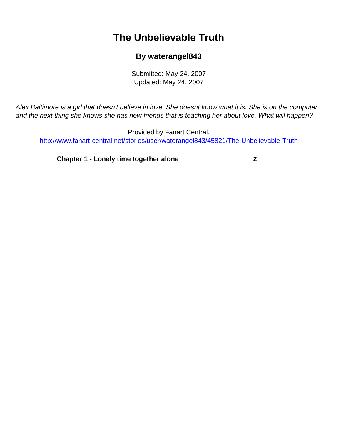## **The Unbelievable Truth**

## **By waterangel843**

Submitted: May 24, 2007 Updated: May 24, 2007

<span id="page-0-0"></span>Alex Baltimore is a girl that doesn't believe in love. She doesnt know what it is. She is on the computer and the next thing she knows she has new friends that is teaching her about love. What will happen?

Provided by Fanart Central. [http://www.fanart-central.net/stories/user/waterangel843/45821/The-Unbelievable-Truth](#page-0-0)

**[Chapter 1 - Lonely time together alone](#page-1-0) [2](#page-1-0)**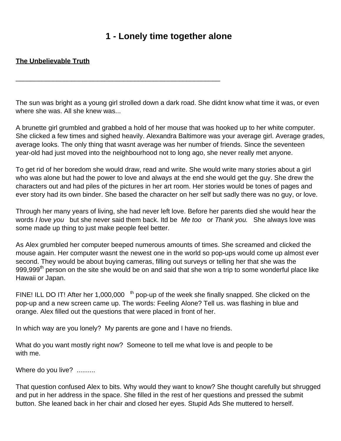## **1 - Lonely time together alone**

## <span id="page-1-0"></span>**The Unbelievable Truth**

The sun was bright as a young girl strolled down a dark road. She didn t know what time it was, or even where she was. All she knew was...

\_\_\_\_\_\_\_\_\_\_\_\_\_\_\_\_\_\_\_\_\_\_\_\_\_\_\_\_\_\_\_\_\_\_\_\_\_\_\_\_\_\_\_\_\_\_\_\_\_\_\_\_\_\_\_

A brunette girl grumbled and grabbed a hold of her mouse that was hooked up to her white computer. She clicked a few times and sighed heavily. Alexandra Baltimore was your average girl. Average grades, average looks. The only thing that wasn t average was her number of friends. Since the seventeen year-old had just moved into the neighbourhood not to long ago, she never really met anyone.

To get rid of her boredom she would draw, read and write. She would write many stories about a girl who was alone but had the power to love and always at the end she would get the guy. She drew the characters out and had piles of the pictures in her art room. Her stories would be tones of pages and ever story had its own binder. She based the character on her self but sadly there was no guy, or love.

Through her many years of living, she had never left love. Before her parents died she would hear the words I love you but she never said them back. It d be Me too or Thank you. She always love was some made up thing to just make people feel better.

As Alex grumbled her computer beeped numerous amounts of times. She screamed and clicked the mouse again. Her computer wasn t the newest one in the world so pop-ups would come up almost ever second. They would be about buying cameras, filling out surveys or telling her that she was the 999,999<sup>th</sup> person on the site she would be on and said that she won a trip to some wonderful place like Hawaii or Japan.

FINE! I LL DO IT! After her 1,000,000<sup>th</sup> pop-up of the week she finally snapped. She clicked on the pop-up and a new screen came up. The words: Feeling Alone? Tell us. was flashing in blue and orange. Alex filled out the questions that were placed in front of her.

In which way are you lonely? My parents are gone and I have no friends.

What do you want mostly right now? Someone to tell me what love is and people to be with me.

Where do you live? ..........

That question confused Alex to bits. Why would they want to know? She thought carefully but shrugged and put in her address in the space. She filled in the rest of her questions and pressed the submit button. She leaned back in her chair and closed her eyes. Stupid Ad s She muttered to herself.